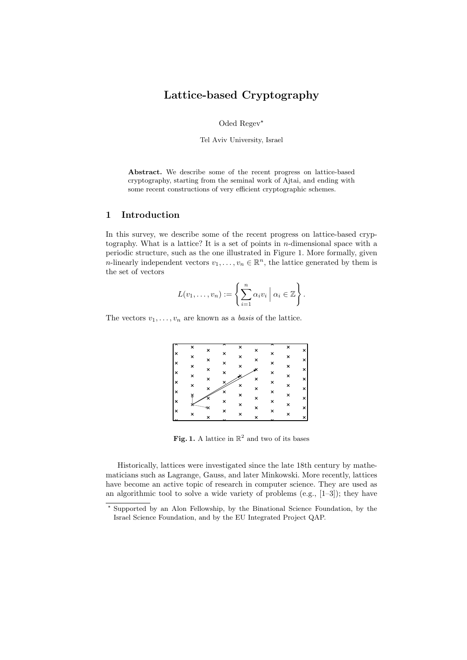# Lattice-based Cryptography

Oded Regev<sup>\*</sup>

Tel Aviv University, Israel

Abstract. We describe some of the recent progress on lattice-based cryptography, starting from the seminal work of Ajtai, and ending with some recent constructions of very efficient cryptographic schemes.

## 1 Introduction

In this survey, we describe some of the recent progress on lattice-based cryptography. What is a lattice? It is a set of points in  $n$ -dimensional space with a periodic structure, such as the one illustrated in Figure 1. More formally, given *n*-linearly independent vectors  $v_1, \ldots, v_n \in \mathbb{R}^n$ , the lattice generated by them is the set of vectors

$$
L(v_1,\ldots,v_n):=\left\{\sum_{i=1}^n\alpha_iv_i\;\Big|\;\alpha_i\in\mathbb{Z}\right\}.
$$

The vectors  $v_1, \ldots, v_n$  are known as a *basis* of the lattice.

|          | × | × |                      | × | × |                      | ×              | × |
|----------|---|---|----------------------|---|---|----------------------|----------------|---|
| $\times$ | × | × | ×                    | × | × | ×                    | ×              | × |
| ١×       | × | × | ×                    | × |   | ×                    | ×              | × |
| l×       | × | × | ×                    |   | × | ×                    | ×              | × |
| ١×       | × | × |                      | × | × | ×                    | ×              | × |
| ×        |   |   | ×                    | × | × | ×                    | $\pmb{\times}$ | × |
| ١x       |   |   | ×                    | × | × | ×                    | ×              |   |
| ×        | × |   | ×                    | × |   | ×                    | ×              | × |
| ٠.       |   | × | $\ddot{\phantom{1}}$ |   | × | $\ddot{\phantom{0}}$ |                | × |

Fig. 1. A lattice in  $\mathbb{R}^2$  and two of its bases

Historically, lattices were investigated since the late 18th century by mathematicians such as Lagrange, Gauss, and later Minkowski. More recently, lattices have become an active topic of research in computer science. They are used as an algorithmic tool to solve a wide variety of problems (e.g.,  $[1-3]$ ); they have

<sup>?</sup> Supported by an Alon Fellowship, by the Binational Science Foundation, by the Israel Science Foundation, and by the EU Integrated Project QAP.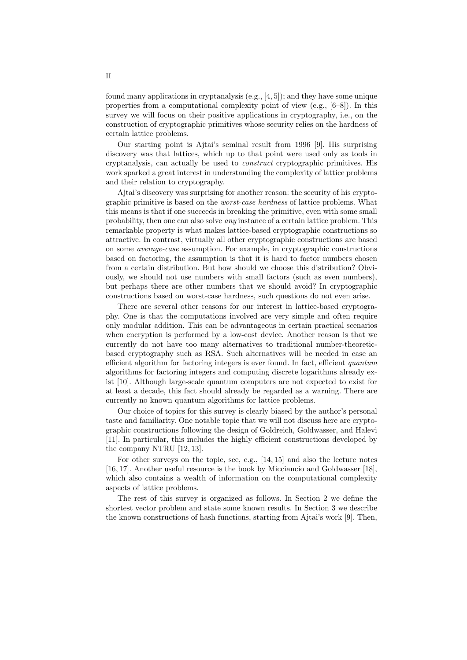found many applications in cryptanalysis  $(e.g., [4, 5])$ ; and they have some unique properties from a computational complexity point of view  $(e.g., [6-8])$ . In this survey we will focus on their positive applications in cryptography, i.e., on the construction of cryptographic primitives whose security relies on the hardness of certain lattice problems.

Our starting point is Ajtai's seminal result from 1996 [9]. His surprising discovery was that lattices, which up to that point were used only as tools in cryptanalysis, can actually be used to construct cryptographic primitives. His work sparked a great interest in understanding the complexity of lattice problems and their relation to cryptography.

Ajtai's discovery was surprising for another reason: the security of his cryptographic primitive is based on the worst-case hardness of lattice problems. What this means is that if one succeeds in breaking the primitive, even with some small probability, then one can also solve any instance of a certain lattice problem. This remarkable property is what makes lattice-based cryptographic constructions so attractive. In contrast, virtually all other cryptographic constructions are based on some average-case assumption. For example, in cryptographic constructions based on factoring, the assumption is that it is hard to factor numbers chosen from a certain distribution. But how should we choose this distribution? Obviously, we should not use numbers with small factors (such as even numbers), but perhaps there are other numbers that we should avoid? In cryptographic constructions based on worst-case hardness, such questions do not even arise.

There are several other reasons for our interest in lattice-based cryptography. One is that the computations involved are very simple and often require only modular addition. This can be advantageous in certain practical scenarios when encryption is performed by a low-cost device. Another reason is that we currently do not have too many alternatives to traditional number-theoreticbased cryptography such as RSA. Such alternatives will be needed in case an efficient algorithm for factoring integers is ever found. In fact, efficient quantum algorithms for factoring integers and computing discrete logarithms already exist [10]. Although large-scale quantum computers are not expected to exist for at least a decade, this fact should already be regarded as a warning. There are currently no known quantum algorithms for lattice problems.

Our choice of topics for this survey is clearly biased by the author's personal taste and familiarity. One notable topic that we will not discuss here are cryptographic constructions following the design of Goldreich, Goldwasser, and Halevi [11]. In particular, this includes the highly efficient constructions developed by the company NTRU [12, 13].

For other surveys on the topic, see, e.g., [14, 15] and also the lecture notes [16, 17]. Another useful resource is the book by Micciancio and Goldwasser [18], which also contains a wealth of information on the computational complexity aspects of lattice problems.

The rest of this survey is organized as follows. In Section 2 we define the shortest vector problem and state some known results. In Section 3 we describe the known constructions of hash functions, starting from Ajtai's work [9]. Then,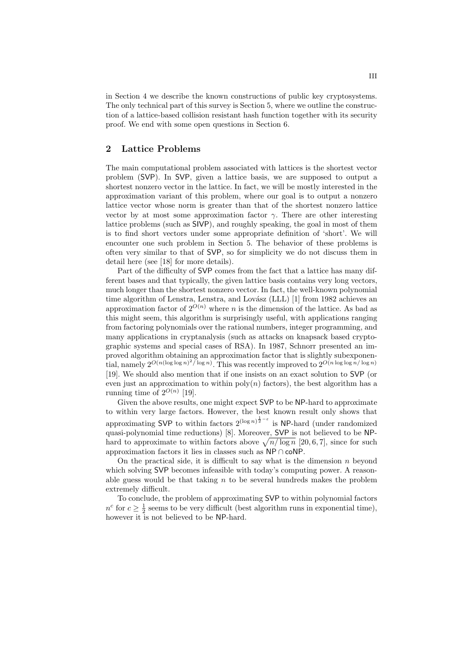in Section 4 we describe the known constructions of public key cryptosystems. The only technical part of this survey is Section 5, where we outline the construction of a lattice-based collision resistant hash function together with its security proof. We end with some open questions in Section 6.

#### 2 Lattice Problems

The main computational problem associated with lattices is the shortest vector problem (SVP). In SVP, given a lattice basis, we are supposed to output a shortest nonzero vector in the lattice. In fact, we will be mostly interested in the approximation variant of this problem, where our goal is to output a nonzero lattice vector whose norm is greater than that of the shortest nonzero lattice vector by at most some approximation factor  $\gamma$ . There are other interesting lattice problems (such as SIVP), and roughly speaking, the goal in most of them is to find short vectors under some appropriate definition of 'short'. We will encounter one such problem in Section 5. The behavior of these problems is often very similar to that of SVP, so for simplicity we do not discuss them in detail here (see [18] for more details).

Part of the difficulty of SVP comes from the fact that a lattice has many different bases and that typically, the given lattice basis contains very long vectors, much longer than the shortest nonzero vector. In fact, the well-known polynomial time algorithm of Lenstra, Lenstra, and Lovász (LLL)  $[1]$  from 1982 achieves an approximation factor of  $2^{O(n)}$  where n is the dimension of the lattice. As bad as this might seem, this algorithm is surprisingly useful, with applications ranging from factoring polynomials over the rational numbers, integer programming, and many applications in cryptanalysis (such as attacks on knapsack based cryptographic systems and special cases of RSA). In 1987, Schnorr presented an improved algorithm obtaining an approximation factor that is slightly subexponential, namely  $2^{O(n(\log \log n)^2/\log n)}$ . This was recently improved to  $2^{O(n \log \log n/\log n)}$ [19]. We should also mention that if one insists on an exact solution to SVP (or even just an approximation to within  $poly(n)$  factors), the best algorithm has a running time of  $2^{O(n)}$  [19].

Given the above results, one might expect SVP to be NP-hard to approximate to within very large factors. However, the best known result only shows that approximating SVP to within factors  $2^{(\log n)^{\frac{1}{2}-\varepsilon}}$  is NP-hard (under randomized quasi-polynomial time reductions) [8]. Moreover, SVP is not believed to be NPquasi-polynomial time reductions) [8]. Moreover,  $SVP$  is not believed to be NP-<br>hard to approximate to within factors above  $\sqrt{n/\log n}$  [20, 6, 7], since for such approximation factors it lies in classes such as NP ∩ coNP.

On the practical side, it is difficult to say what is the dimension  $n$  beyond which solving SVP becomes infeasible with today's computing power. A reasonable guess would be that taking  $n$  to be several hundreds makes the problem extremely difficult.

To conclude, the problem of approximating SVP to within polynomial factors  $n^c$  for  $c \geq \frac{1}{2}$  seems to be very difficult (best algorithm runs in exponential time), however it is not believed to be NP-hard.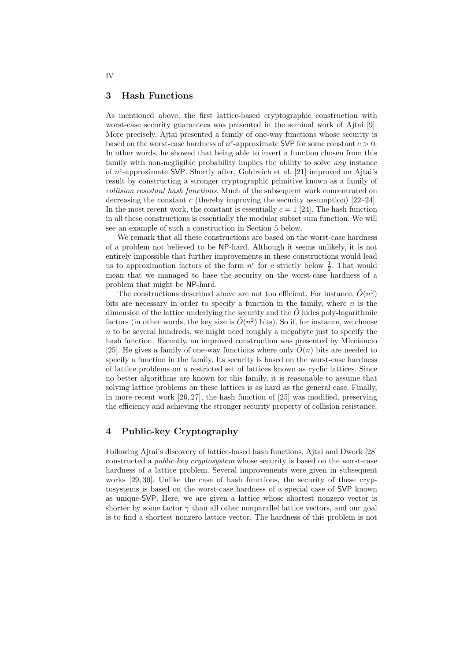#### 3 Hash Functions

As mentioned above, the first lattice-based cryptographic construction with worst-case security guarantees was presented in the seminal work of Ajtai [9]. More precisely, Ajtai presented a family of one-way functions whose security is based on the worst-case hardness of  $n^c$ -approximate SVP for some constant  $c > 0$ . In other words, he showed that being able to invert a function chosen from this family with non-negligible probability implies the ability to solve any instance of n c -approximate SVP. Shortly after, Goldreich et al. [21] improved on Ajtai's result by constructing a stronger cryptographic primitive known as a family of collision resistant hash functions. Much of the subsequent work concentrated on decreasing the constant c (thereby improving the security assumption)  $[22-24]$ . In the most recent work, the constant is essentially  $c = 1$  [24]. The hash function in all these constructions is essentially the modular subset sum function. We will see an example of such a construction in Section 5 below.

We remark that all these constructions are based on the worst-case hardness of a problem not believed to be NP-hard. Although it seems unlikely, it is not entirely impossible that further improvements in these constructions would lead us to approximation factors of the form  $n^c$  for c strictly below  $\frac{1}{2}$ . That would mean that we managed to base the security on the worst-case hardness of a problem that might be NP-hard.

The constructions described above are not too efficient. For instance,  $\tilde{O}(n^2)$ bits are necessary in order to specify a function in the family, where  $n$  is the dimension of the lattice underlying the security and the  $\tilde{O}$  hides poly-logarithmic factors (in other words, the key size is  $\tilde{O}(n^2)$  bits). So if, for instance, we choose  $n$  to be several hundreds, we might need roughly a megabyte just to specify the hash function. Recently, an improved construction was presented by Micciancio [25]. He gives a family of one-way functions where only  $\tilde{O}(n)$  bits are needed to specify a function in the family. Its security is based on the worst-case hardness of lattice problems on a restricted set of lattices known as cyclic lattices. Since no better algorithms are known for this family, it is reasonable to assume that solving lattice problems on these lattices is as hard as the general case. Finally, in more recent work [26, 27], the hash function of [25] was modified, preserving the efficiency and achieving the stronger security property of collision resistance.

## 4 Public-key Cryptography

Following Ajtai's discovery of lattice-based hash functions, Ajtai and Dwork [28] constructed a public-key cryptosystem whose security is based on the worst-case hardness of a lattice problem. Several improvements were given in subsequent works [29, 30]. Unlike the case of hash functions, the security of these cryptosystems is based on the worst-case hardness of a special case of SVP known as unique-SVP. Here, we are given a lattice whose shortest nonzero vector is shorter by some factor  $\gamma$  than all other nonparallel lattice vectors, and our goal is to find a shortest nonzero lattice vector. The hardness of this problem is not

IV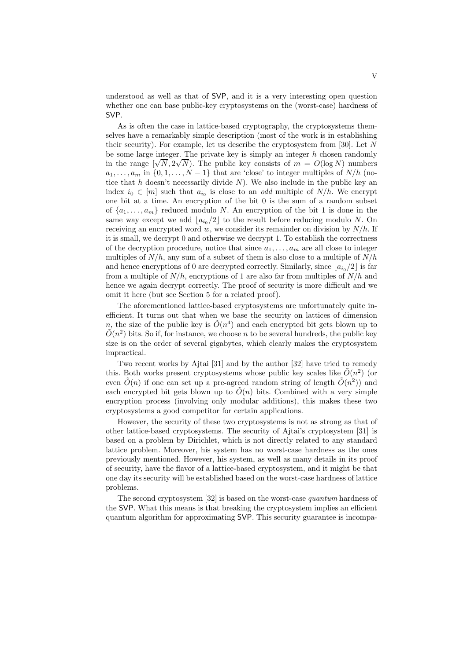understood as well as that of SVP, and it is a very interesting open question whether one can base public-key cryptosystems on the (worst-case) hardness of SVP.

As is often the case in lattice-based cryptography, the cryptosystems themselves have a remarkably simple description (most of the work is in establishing their security). For example, let us describe the cryptosystem from [30]. Let  $N$ be some large integer. The private key is simply an integer h chosen randomly be some large integer. The private key is simply an integer h chosen randomly in the range  $[\sqrt{N}, 2\sqrt{N}]$ . The public key consists of  $m = O(\log N)$  numbers  $a_1, \ldots, a_m$  in  $\{0, 1, \ldots, N-1\}$  that are 'close' to integer multiples of  $N/h$  (notice that h doesn't necessarily divide  $N$ ). We also include in the public key an index  $i_0 \in [m]$  such that  $a_{i_0}$  is close to an *odd* multiple of  $N/h$ . We encrypt one bit at a time. An encryption of the bit 0 is the sum of a random subset of  $\{a_1, \ldots, a_m\}$  reduced modulo N. An encryption of the bit 1 is done in the same way except we add  $\lfloor a_{i_0}/2 \rfloor$  to the result before reducing modulo N. On receiving an encrypted word w, we consider its remainder on division by  $N/h$ . If it is small, we decrypt 0 and otherwise we decrypt 1. To establish the correctness of the decryption procedure, notice that since  $a_1, \ldots, a_m$  are all close to integer multiples of  $N/h$ , any sum of a subset of them is also close to a multiple of  $N/h$ and hence encryptions of 0 are decrypted correctly. Similarly, since  $\lfloor a_{i_0}/2 \rfloor$  is far from a multiple of  $N/h$ , encryptions of 1 are also far from multiples of  $N/h$  and hence we again decrypt correctly. The proof of security is more difficult and we omit it here (but see Section 5 for a related proof).

The aforementioned lattice-based cryptosystems are unfortunately quite inefficient. It turns out that when we base the security on lattices of dimension n, the size of the public key is  $\tilde{O}(n^4)$  and each encrypted bit gets blown up to  $O(n^2)$  bits. So if, for instance, we choose n to be several hundreds, the public key size is on the order of several gigabytes, which clearly makes the cryptosystem impractical.

Two recent works by Ajtai [31] and by the author [32] have tried to remedy this. Both works present cryptosystems whose public key scales like  $\tilde{O}(n^2)$  (or even  $\tilde{O}(n)$  if one can set up a pre-agreed random string of length  $\tilde{O}(n^2)$  and each encrypted bit gets blown up to  $\tilde{O}(n)$  bits. Combined with a very simple encryption process (involving only modular additions), this makes these two cryptosystems a good competitor for certain applications.

However, the security of these two cryptosystems is not as strong as that of other lattice-based cryptosystems. The security of Ajtai's cryptosystem [31] is based on a problem by Dirichlet, which is not directly related to any standard lattice problem. Moreover, his system has no worst-case hardness as the ones previously mentioned. However, his system, as well as many details in its proof of security, have the flavor of a lattice-based cryptosystem, and it might be that one day its security will be established based on the worst-case hardness of lattice problems.

The second cryptosystem [32] is based on the worst-case quantum hardness of the SVP. What this means is that breaking the cryptosystem implies an efficient quantum algorithm for approximating SVP. This security guarantee is incompa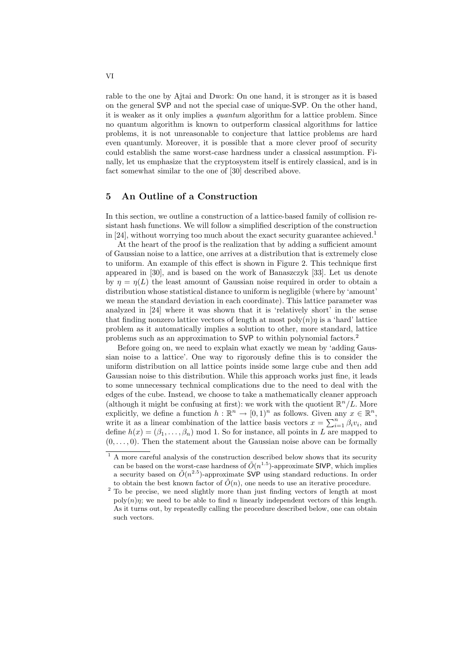rable to the one by Ajtai and Dwork: On one hand, it is stronger as it is based on the general SVP and not the special case of unique-SVP. On the other hand, it is weaker as it only implies a quantum algorithm for a lattice problem. Since no quantum algorithm is known to outperform classical algorithms for lattice problems, it is not unreasonable to conjecture that lattice problems are hard even quantumly. Moreover, it is possible that a more clever proof of security could establish the same worst-case hardness under a classical assumption. Finally, let us emphasize that the cryptosystem itself is entirely classical, and is in fact somewhat similar to the one of [30] described above.

## 5 An Outline of a Construction

In this section, we outline a construction of a lattice-based family of collision resistant hash functions. We will follow a simplified description of the construction in [24], without worrying too much about the exact security guarantee achieved.<sup>1</sup>

At the heart of the proof is the realization that by adding a sufficient amount of Gaussian noise to a lattice, one arrives at a distribution that is extremely close to uniform. An example of this effect is shown in Figure 2. This technique first appeared in [30], and is based on the work of Banaszczyk [33]. Let us denote by  $\eta = \eta(L)$  the least amount of Gaussian noise required in order to obtain a distribution whose statistical distance to uniform is negligible (where by 'amount' we mean the standard deviation in each coordinate). This lattice parameter was analyzed in [24] where it was shown that it is 'relatively short' in the sense that finding nonzero lattice vectors of length at most  $poly(n)\eta$  is a 'hard' lattice problem as it automatically implies a solution to other, more standard, lattice problems such as an approximation to SVP to within polynomial factors.<sup>2</sup>

Before going on, we need to explain what exactly we mean by 'adding Gaussian noise to a lattice'. One way to rigorously define this is to consider the uniform distribution on all lattice points inside some large cube and then add Gaussian noise to this distribution. While this approach works just fine, it leads to some unnecessary technical complications due to the need to deal with the edges of the cube. Instead, we choose to take a mathematically cleaner approach (although it might be confusing at first): we work with the quotient  $\mathbb{R}^n/L$ . More explicitly, we define a function  $h : \mathbb{R}^n \to [0,1)^n$  as follows. Given any  $x \in \mathbb{R}^n$ , write it as a linear combination of the lattice basis vectors  $x = \sum_{i=1}^{n} \beta_i v_i$ , and define  $h(x) = (\beta_1, \ldots, \beta_n)$  mod 1. So for instance, all points in L are mapped to  $(0, \ldots, 0)$ . Then the statement about the Gaussian noise above can be formally

 $^{\rm 1}$  A more careful analysis of the construction described below shows that its security can be based on the worst-case hardness of  $\tilde{O}(n^{1.5})$ -approximate SIVP, which implies a security based on  $\tilde{O}(n^{2.5})$ -approximate SVP using standard reductions. In order to obtain the best known factor of  $\tilde{O}(n)$ , one needs to use an iterative procedure.

<sup>&</sup>lt;sup>2</sup> To be precise, we need slightly more than just finding vectors of length at most  $poly(n)\eta$ ; we need to be able to find n linearly independent vectors of this length. As it turns out, by repeatedly calling the procedure described below, one can obtain such vectors.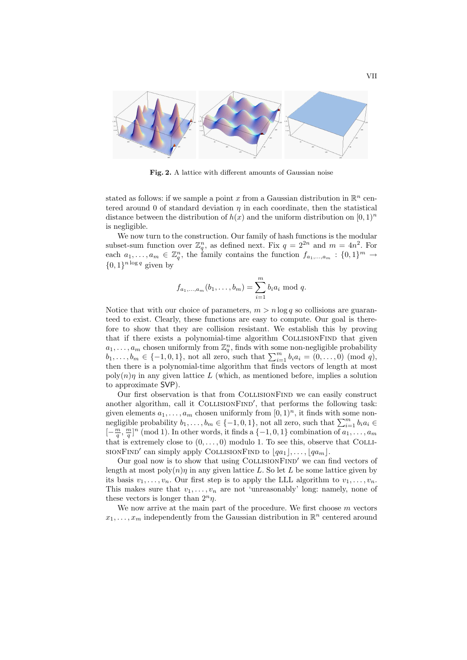

Fig. 2. A lattice with different amounts of Gaussian noise

stated as follows: if we sample a point x from a Gaussian distribution in  $\mathbb{R}^n$  centered around 0 of standard deviation  $\eta$  in each coordinate, then the statistical distance between the distribution of  $h(x)$  and the uniform distribution on  $[0, 1]<sup>n</sup>$ is negligible.

We now turn to the construction. Our family of hash functions is the modular subset-sum function over  $\mathbb{Z}_q^n$ , as defined next. Fix  $q = 2^{2n}$  and  $m = 4n^2$ . For each  $a_1, \ldots, a_m \in \mathbb{Z}_q^n$ , the family contains the function  $f_{a_1, \ldots, a_m} : \{0,1\}^m \to$  $\{0,1\}^{n \log q}$  given by

$$
f_{a_1,...,a_m}(b_1,...,b_m) = \sum_{i=1}^m b_i a_i \bmod q.
$$

Notice that with our choice of parameters,  $m > n \log q$  so collisions are guaranteed to exist. Clearly, these functions are easy to compute. Our goal is therefore to show that they are collision resistant. We establish this by proving that if there exists a polynomial-time algorithm COLLISIONFIND that given  $a_1, \ldots, a_m$  chosen uniformly from  $\mathbb{Z}_q^n$ , finds with some non-negligible probability  $b_1, \ldots, b_m \in \{-1, 0, 1\}$ , not all zero, such that  $\sum_{i=1}^m b_i a_i = (0, \ldots, 0) \pmod{q}$ , then there is a polynomial-time algorithm that finds vectors of length at most  $\text{poly}(n)\eta$  in any given lattice L (which, as mentioned before, implies a solution to approximate SVP).

Our first observation is that from CollisionFind we can easily construct another algorithm, call it COLLISIONFIND', that performs the following task: given elements  $a_1, \ldots, a_m$  chosen uniformly from  $[0, 1)^n$ , it finds with some nongiven elements  $a_1, \ldots, a_m$  chosen uniformly from [0, 1)<sup>-1</sup>, it finds with some non-<br>negligible probability  $b_1, \ldots, b_m \in \{-1, 0, 1\}$ , not all zero, such that  $\sum_{i=1}^m b_i a_i \in$  $[-\frac{m}{q}, \frac{m}{q}]^n \pmod{1}$ . In other words, it finds a  $\{-1,0,1\}$  combination of  $a_1, \ldots, a_m$ that is extremely close to  $(0, \ldots, 0)$  modulo 1. To see this, observe that COLLI-SIONFIND' can simply apply COLLISIONFIND to  $\lfloor qa_1 \rfloor, \ldots, \lfloor qa_m \rfloor$ .

Our goal now is to show that using  $COLLISIONFIND'$  we can find vectors of length at most  $poly(n)\eta$  in any given lattice L. So let L be some lattice given by its basis  $v_1, \ldots, v_n$ . Our first step is to apply the LLL algorithm to  $v_1, \ldots, v_n$ . This makes sure that  $v_1, \ldots, v_n$  are not 'unreasonably' long: namely, none of these vectors is longer than  $2^n \eta$ .

We now arrive at the main part of the procedure. We first choose  $m$  vectors  $x_1, \ldots, x_m$  independently from the Gaussian distribution in  $\mathbb{R}^n$  centered around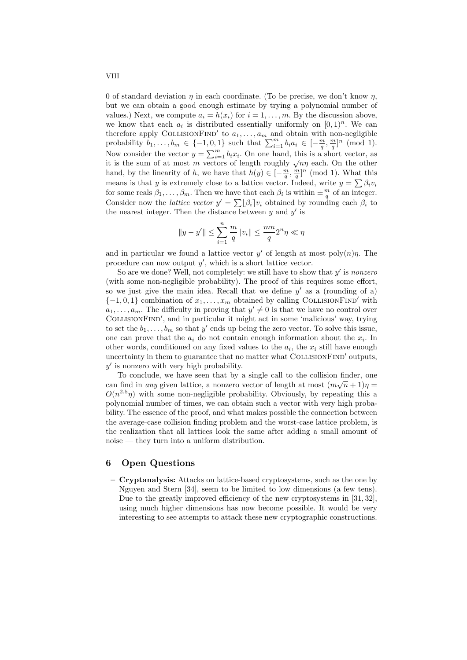0 of standard deviation  $\eta$  in each coordinate. (To be precise, we don't know  $\eta$ , but we can obtain a good enough estimate by trying a polynomial number of values.) Next, we compute  $a_i = h(x_i)$  for  $i = 1, \ldots, m$ . By the discussion above, we know that each  $a_i$  is distributed essentially uniformly on  $[0,1)^n$ . We can therefore apply COLLISIONFIND' to  $a_1, \ldots, a_m$  and obtain with non-negligible therefore apply COLLISIONF IND to  $a_1, \ldots, a_m$  and obtain with non-negagible<br>probability  $b_1, \ldots, b_m \in \{-1, 0, 1\}$  such that  $\sum_{i=1}^m b_i a_i \in [-\frac{m}{q}, \frac{m}{q}]^n$  (mod 1). Now consider the vector  $y = \sum_{i=1}^{m} b_i x_i$ . On one hand, this is a short vector, as From consider the vector  $y = \sum_{i=1}^{n} a_i x_i$ . On one hand, this is a short vector, as<br>it is the sum of at most m vectors of length roughly  $\sqrt{n}\eta$  each. On the other hand, by the linearity of h, we have that  $h(y) \in [-\frac{m}{q}, \frac{m}{q}]^n$  (mod 1). What this means is that y is extremely close to a lattice vector. Indeed, write  $y = \sum \beta_i v_i$ for some reals  $\beta_1, \ldots, \beta_m$ . Then we have that each  $\beta_i$  is within  $\pm \frac{m}{q}$  of an integer. Consider now the *lattice vector*  $y' = \sum_{i} |\beta_i| v_i$  obtained by rounding each  $\beta_i$  to the nearest integer. Then the distance between  $y$  and  $y'$  is

$$
||y - y'|| \leq \sum_{i=1}^{n} \frac{m}{q} ||v_i|| \leq \frac{mn}{q} 2^n \eta \ll \eta
$$

and in particular we found a lattice vector  $y'$  of length at most poly $(n)\eta$ . The procedure can now output  $y'$ , which is a short lattice vector.

So are we done? Well, not completely: we still have to show that  $y'$  is nonzero (with some non-negligible probability). The proof of this requires some effort, so we just give the main idea. Recall that we define  $y'$  as a (rounding of a)  $\{-1,0,1\}$  combination of  $x_1, \ldots, x_m$  obtained by calling COLLISIONFIND' with  $a_1, \ldots, a_m$ . The difficulty in proving that  $y' \neq 0$  is that we have no control over COLLISIONFIND', and in particular it might act in some 'malicious' way, trying to set the  $b_1, \ldots, b_m$  so that y' ends up being the zero vector. To solve this issue, one can prove that the  $a_i$  do not contain enough information about the  $x_i$ . In other words, conditioned on any fixed values to the  $a_i$ , the  $x_i$  still have enough uncertainty in them to guarantee that no matter what COLLISIONFIND' outputs,  $y'$  is nonzero with very high probability.

To conclude, we have seen that by a single call to the collision finder, one can find in any given lattice, a nonzero vector of length at most  $(m\sqrt{n}+1)\eta =$  $O(n^{2.5}\eta)$  with some non-negligible probability. Obviously, by repeating this a polynomial number of times, we can obtain such a vector with very high probability. The essence of the proof, and what makes possible the connection between the average-case collision finding problem and the worst-case lattice problem, is the realization that all lattices look the same after adding a small amount of noise — they turn into a uniform distribution.

#### 6 Open Questions

– Cryptanalysis: Attacks on lattice-based cryptosystems, such as the one by Nguyen and Stern [34], seem to be limited to low dimensions (a few tens). Due to the greatly improved efficiency of the new cryptosystems in [31, 32], using much higher dimensions has now become possible. It would be very interesting to see attempts to attack these new cryptographic constructions.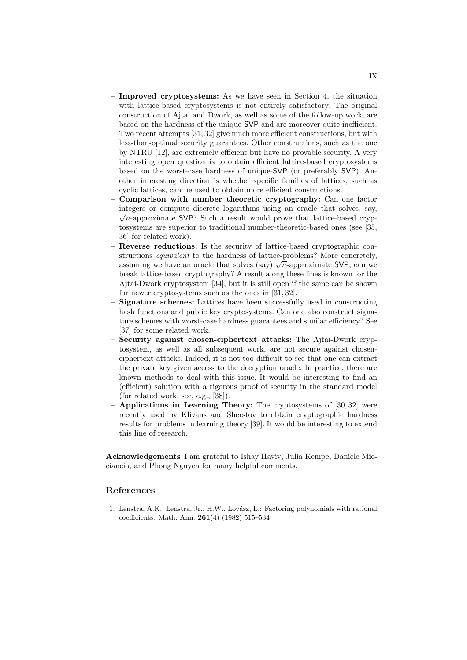- Improved cryptosystems: As we have seen in Section 4, the situation with lattice-based cryptosystems is not entirely satisfactory: The original construction of Ajtai and Dwork, as well as some of the follow-up work, are based on the hardness of the unique-SVP and are moreover quite inefficient. Two recent attempts [31, 32] give much more efficient constructions, but with less-than-optimal security guarantees. Other constructions, such as the one by NTRU [12], are extremely efficient but have no provable security. A very interesting open question is to obtain efficient lattice-based cryptosystems based on the worst-case hardness of unique-SVP (or preferably SVP). Another interesting direction is whether specific families of lattices, such as cyclic lattices, can be used to obtain more efficient constructions.
- Comparison with number theoretic cryptography: Can one factor integers or compute discrete logarithms using an oracle that solves, say, √  $\sqrt{n}$ -approximate SVP? Such a result would prove that lattice-based cryptosystems are superior to traditional number-theoretic-based ones (see [35, 36] for related work).
- Reverse reductions: Is the security of lattice-based cryptographic constructions equivalent to the hardness of lattice-problems? More concretely, structions *equivalent* to the nardness of lattice-problems: More concretely, assuming we have an oracle that solves (say)  $\sqrt{n}$ -approximate SVP, can we break lattice-based cryptography? A result along these lines is known for the Ajtai-Dwork cryptosystem [34], but it is still open if the same can be shown for newer cryptosystems such as the ones in [31, 32].
- Signature schemes: Lattices have been successfully used in constructing hash functions and public key cryptosystems. Can one also construct signature schemes with worst-case hardness guarantees and similar efficiency? See [37] for some related work.
- Security against chosen-ciphertext attacks: The Ajtai-Dwork cryptosystem, as well as all subsequent work, are not secure against chosenciphertext attacks. Indeed, it is not too difficult to see that one can extract the private key given access to the decryption oracle. In practice, there are known methods to deal with this issue. It would be interesting to find an (efficient) solution with a rigorous proof of security in the standard model (for related work, see, e.g., [38]).
- Applications in Learning Theory: The cryptosystems of [30, 32] were recently used by Klivans and Sherstov to obtain cryptographic hardness results for problems in learning theory [39]. It would be interesting to extend this line of research.

Acknowledgements I am grateful to Ishay Haviv, Julia Kempe, Daniele Micciancio, and Phong Nguyen for many helpful comments.

### References

1. Lenstra, A.K., Lenstra, Jr., H.W., Lovász, L.: Factoring polynomials with rational coefficients. Math. Ann. 261(4) (1982) 515–534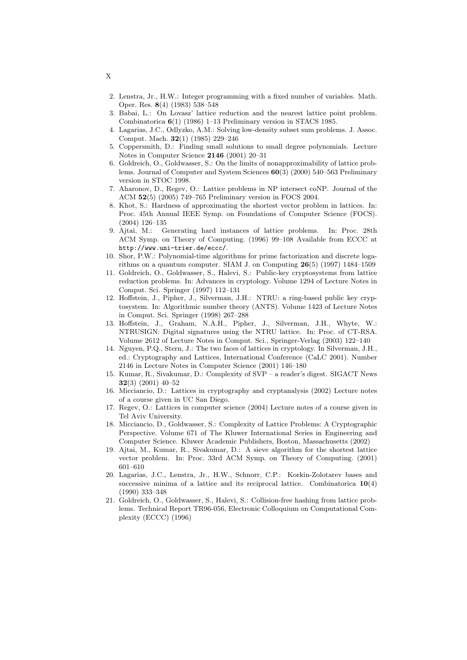- 2. Lenstra, Jr., H.W.: Integer programming with a fixed number of variables. Math. Oper. Res. 8(4) (1983) 538–548
- 3. Babai, L.: On Lovasz' lattice reduction and the nearest lattice point problem. Combinatorica 6(1) (1986) 1–13 Preliminary version in STACS 1985.
- 4. Lagarias, J.C., Odlyzko, A.M.: Solving low-density subset sum problems. J. Assoc. Comput. Mach. 32(1) (1985) 229–246
- 5. Coppersmith, D.: Finding small solutions to small degree polynomials. Lecture Notes in Computer Science 2146 (2001) 20–31
- 6. Goldreich, O., Goldwasser, S.: On the limits of nonapproximability of lattice problems. Journal of Computer and System Sciences 60(3) (2000) 540–563 Preliminary version in STOC 1998.
- 7. Aharonov, D., Regev, O.: Lattice problems in NP intersect coNP. Journal of the ACM 52(5) (2005) 749–765 Preliminary version in FOCS 2004.
- 8. Khot, S.: Hardness of approximating the shortest vector problem in lattices. In: Proc. 45th Annual IEEE Symp. on Foundations of Computer Science (FOCS). (2004) 126–135
- 9. Ajtai, M.: Generating hard instances of lattice problems. In: Proc. 28th ACM Symp. on Theory of Computing. (1996) 99–108 Available from ECCC at http://www.uni-trier.de/eccc/.
- 10. Shor, P.W.: Polynomial-time algorithms for prime factorization and discrete logarithms on a quantum computer. SIAM J. on Computing 26(5) (1997) 1484–1509
- 11. Goldreich, O., Goldwasser, S., Halevi, S.: Public-key cryptosystems from lattice reduction problems. In: Advances in cryptology. Volume 1294 of Lecture Notes in Comput. Sci. Springer (1997) 112–131
- 12. Hoffstein, J., Pipher, J., Silverman, J.H.: NTRU: a ring-based public key cryptosystem. In: Algorithmic number theory (ANTS). Volume 1423 of Lecture Notes in Comput. Sci. Springer (1998) 267–288
- 13. Hoffstein, J., Graham, N.A.H., Pipher, J., Silverman, J.H., Whyte, W.: NTRUSIGN: Digital signatures using the NTRU lattice. In: Proc. of CT-RSA. Volume 2612 of Lecture Notes in Comput. Sci., Springer-Verlag (2003) 122–140
- 14. Nguyen, P.Q., Stern, J.: The two faces of lattices in cryptology. In Silverman, J.H., ed.: Cryptography and Lattices, International Conference (CaLC 2001). Number 2146 in Lecture Notes in Computer Science (2001) 146–180
- 15. Kumar, R., Sivakumar, D.: Complexity of SVP a reader's digest. SIGACT News 32(3) (2001) 40–52
- 16. Micciancio, D.: Lattices in cryptography and cryptanalysis (2002) Lecture notes of a course given in UC San Diego.
- 17. Regev, O.: Lattices in computer science (2004) Lecture notes of a course given in Tel Aviv University.
- 18. Micciancio, D., Goldwasser, S.: Complexity of Lattice Problems: A Cryptographic Perspective. Volume 671 of The Kluwer International Series in Engineering and Computer Science. Kluwer Academic Publishers, Boston, Massachusetts (2002)
- 19. Ajtai, M., Kumar, R., Sivakumar, D.: A sieve algorithm for the shortest lattice vector problem. In: Proc. 33rd ACM Symp. on Theory of Computing. (2001) 601–610
- 20. Lagarias, J.C., Lenstra, Jr., H.W., Schnorr, C.P.: Korkin-Zolotarev bases and successive minima of a lattice and its reciprocal lattice. Combinatorica  $10(4)$ (1990) 333–348
- 21. Goldreich, O., Goldwasser, S., Halevi, S.: Collision-free hashing from lattice problems. Technical Report TR96-056, Electronic Colloquium on Computational Complexity (ECCC) (1996)

X